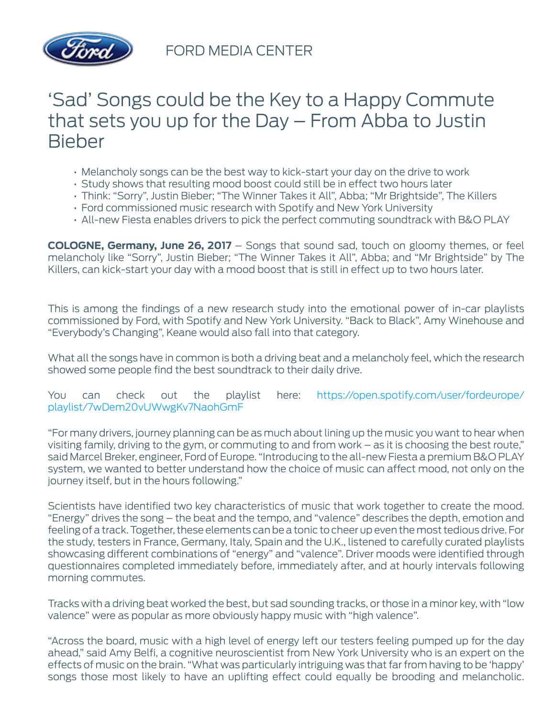

FORD MEDIA CENTER

## 'Sad' Songs could be the Key to a Happy Commute that sets you up for the Day – From Abba to Justin Bieber

- Melancholy songs can be the best way to kick-start your day on the drive to work
- Study shows that resulting mood boost could still be in effect two hours later
- Think: "Sorry", Justin Bieber; "The Winner Takes it All", Abba; "Mr Brightside", The Killers
- Ford commissioned music research with Spotify and New York University
- All-new Fiesta enables drivers to pick the perfect commuting soundtrack with B&O PLAY

**COLOGNE, Germany, June 26, 2017** – Songs that sound sad, touch on gloomy themes, or feel melancholy like "Sorry", Justin Bieber; "The Winner Takes it All", Abba; and "Mr Brightside" by The Killers, can kick-start your day with a mood boost that is still in effect up to two hours later.

This is among the findings of a new research study into the emotional power of in-car playlists commissioned by Ford, with Spotify and New York University. "Back to Black", Amy Winehouse and "Everybody's Changing", Keane would also fall into that category.

What all the songs have in common is both a driving beat and a melancholy feel, which the research showed some people find the best soundtrack to their daily drive.

You can check out the playlist here: [https://open.spotify.com/user/fordeurope/](https://open.spotify.com/user/fordeurope/playlist/7wDem20vUWwgKv7NaohGmF) [playlist/7wDem20vUWwgKv7NaohGmF](https://open.spotify.com/user/fordeurope/playlist/7wDem20vUWwgKv7NaohGmF)

"For many drivers, journey planning can be as much about lining up the music you want to hear when visiting family, driving to the gym, or commuting to and from work – as it is choosing the best route," said Marcel Breker, engineer, Ford of Europe. "Introducing to the all-new Fiesta a premium B&O PLAY system, we wanted to better understand how the choice of music can affect mood, not only on the journey itself, but in the hours following."

Scientists have identified two key characteristics of music that work together to create the mood. "Energy" drives the song – the beat and the tempo, and "valence" describes the depth, emotion and feeling of a track. Together, these elements can be a tonic to cheer up even the most tedious drive. For the study, testers in France, Germany, Italy, Spain and the U.K., listened to carefully curated playlists showcasing different combinations of "energy" and "valence". Driver moods were identified through questionnaires completed immediately before, immediately after, and at hourly intervals following morning commutes.

Tracks with a driving beat worked the best, but sad sounding tracks, or those in a minor key, with "low valence" were as popular as more obviously happy music with "high valence".

"Across the board, music with a high level of energy left our testers feeling pumped up for the day ahead," said Amy Belfi, a cognitive neuroscientist from New York University who is an expert on the effects of music on the brain. "What was particularly intriguing was that far from having to be 'happy' songs those most likely to have an uplifting effect could equally be brooding and melancholic.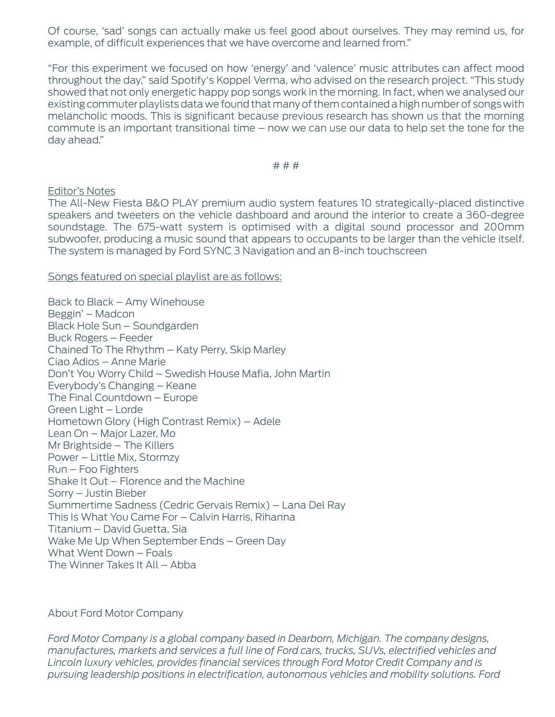Of course, 'sad' songs can actually make us feel good about ourselves. They may remind us, for example, of difficult experiences that we have overcome and learned from."

"For this experiment we focused on how 'energy' and 'valence' music attributes can affect mood throughout the day," said Spotify's Koppel Verma, who advised on the research project. "This study showed that not only energetic happy pop songs work in the morning. In fact, when we analysed our existing commuter playlists data we found that many of them contained a high number of songs with melancholic moods. This is significant because previous research has shown us that the morning commute is an important transitional time – now we can use our data to help set the tone for the day ahead."

# # #

## Editor's Notes

The All-New Fiesta B&O PLAY premium audio system features 10 strategically-placed distinctive speakers and tweeters on the vehicle dashboard and around the interior to create a 360-degree soundstage. The 675-watt system is optimised with a digital sound processor and 200mm subwoofer, producing a music sound that appears to occupants to be larger than the vehicle itself. The system is managed by Ford SYNC 3 Navigation and an 8-inch touchscreen

Songs featured on special playlist are as follows:

Back to Black – Amy Winehouse Beggin' – Madcon Black Hole Sun – Soundgarden Buck Rogers – Feeder Chained To The Rhythm – Katy Perry, Skip Marley Ciao Adios – Anne Marie Don't You Worry Child – Swedish House Mafia, John Martin Everybody's Changing – Keane The Final Countdown – Europe Green Light – Lorde Hometown Glory (High Contrast Remix) – Adele Lean On – Major Lazer, Mo Mr Brightside – The Killers Power – Little Mix, Stormzy Run – Foo Fighters Shake It Out – Florence and the Machine Sorry – Justin Bieber Summertime Sadness (Cedric Gervais Remix) – Lana Del Ray This Is What You Came For – Calvin Harris, Rihanna Titanium – David Guetta, Sia Wake Me Up When September Ends – Green Day What Went Down – Foals The Winner Takes It All – Abba

## About Ford Motor Company

*Ford Motor Company is a global company based in Dearborn, Michigan. The company designs, manufactures, markets and services a full line of Ford cars, trucks, SUVs, electrified vehicles and Lincoln luxury vehicles, provides financial services through Ford Motor Credit Company and is pursuing leadership positions in electrification, autonomous vehicles and mobility solutions. Ford*